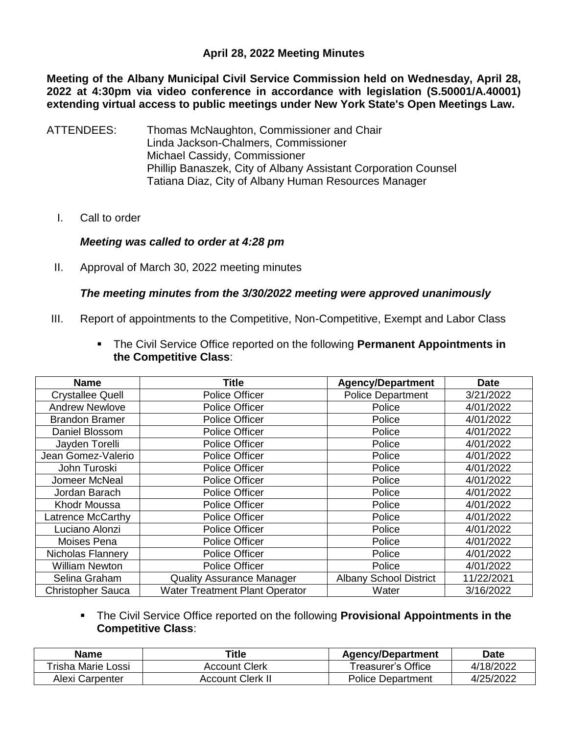## **April 28, 2022 Meeting Minutes**

**Meeting of the Albany Municipal Civil Service Commission held on Wednesday, April 28, 2022 at 4:30pm via video conference in accordance with legislation (S.50001/A.40001) extending virtual access to public meetings under New York State's Open Meetings Law.** 

- ATTENDEES: Thomas McNaughton, Commissioner and Chair Linda Jackson-Chalmers, Commissioner Michael Cassidy, Commissioner Phillip Banaszek, City of Albany Assistant Corporation Counsel Tatiana Diaz, City of Albany Human Resources Manager
	- I. Call to order

#### *Meeting was called to order at 4:28 pm*

II. Approval of March 30, 2022 meeting minutes

#### *The meeting minutes from the 3/30/2022 meeting were approved unanimously*

- III. Report of appointments to the Competitive, Non-Competitive, Exempt and Labor Class
	- The Civil Service Office reported on the following **Permanent Appointments in the Competitive Class**:

| <b>Name</b>              | <b>Title</b>                          | <b>Agency/Department</b>      | <b>Date</b> |
|--------------------------|---------------------------------------|-------------------------------|-------------|
| <b>Crystallee Quell</b>  | Police Officer                        | <b>Police Department</b>      | 3/21/2022   |
| <b>Andrew Newlove</b>    | Police Officer                        | Police                        | 4/01/2022   |
| <b>Brandon Bramer</b>    | Police Officer                        | Police                        | 4/01/2022   |
| Daniel Blossom           | Police Officer                        | Police                        | 4/01/2022   |
| Jayden Torelli           | Police Officer                        | Police                        | 4/01/2022   |
| Jean Gomez-Valerio       | Police Officer                        | Police                        | 4/01/2022   |
| John Turoski             | Police Officer                        | Police                        | 4/01/2022   |
| Jomeer McNeal            | Police Officer                        | Police                        | 4/01/2022   |
| Jordan Barach            | Police Officer                        | Police                        | 4/01/2022   |
| Khodr Moussa             | Police Officer                        | Police                        | 4/01/2022   |
| Latrence McCarthy        | Police Officer                        | Police                        | 4/01/2022   |
| Luciano Alonzi           | <b>Police Officer</b>                 | Police                        | 4/01/2022   |
| Moises Pena              | <b>Police Officer</b>                 | Police                        | 4/01/2022   |
| Nicholas Flannery        | <b>Police Officer</b>                 | Police                        | 4/01/2022   |
| <b>William Newton</b>    | Police Officer                        | Police                        | 4/01/2022   |
| Selina Graham            | <b>Quality Assurance Manager</b>      | <b>Albany School District</b> | 11/22/2021  |
| <b>Christopher Sauca</b> | <b>Water Treatment Plant Operator</b> | Water                         | 3/16/2022   |

 The Civil Service Office reported on the following **Provisional Appointments in the Competitive Class**:

| <b>Name</b>        | Title                | <b>Agency/Department</b> | <b>Date</b> |
|--------------------|----------------------|--------------------------|-------------|
| Trisha Marie Lossi | <b>Account Clerk</b> | Treasurer's Office l     | 4/18/2022   |
| Alexi Carpenter    | Account Clerk II     | <b>Police Department</b> | 4/25/2022   |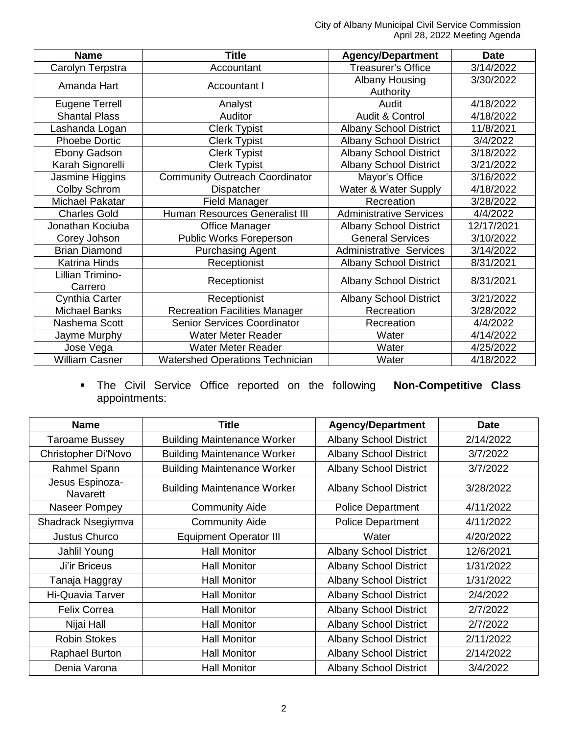City of Albany Municipal Civil Service Commission April 28, 2022 Meeting Agenda

| <b>Name</b>                 | <b>Title</b>                           | <b>Agency/Department</b>       | <b>Date</b> |
|-----------------------------|----------------------------------------|--------------------------------|-------------|
| Carolyn Terpstra            | Accountant                             | <b>Treasurer's Office</b>      | 3/14/2022   |
| Amanda Hart                 | Accountant I                           | Albany Housing                 | 3/30/2022   |
|                             |                                        | Authority                      |             |
| <b>Eugene Terrell</b>       | Analyst                                | Audit                          | 4/18/2022   |
| <b>Shantal Plass</b>        | Auditor                                | Audit & Control                | 4/18/2022   |
| Lashanda Logan              | <b>Clerk Typist</b>                    | <b>Albany School District</b>  | 11/8/2021   |
| <b>Phoebe Dortic</b>        | <b>Clerk Typist</b>                    | <b>Albany School District</b>  | 3/4/2022    |
| Ebony Gadson                | <b>Clerk Typist</b>                    | <b>Albany School District</b>  | 3/18/2022   |
| Karah Signorelli            | <b>Clerk Typist</b>                    | <b>Albany School District</b>  | 3/21/2022   |
| Jasmine Higgins             | <b>Community Outreach Coordinator</b>  | Mayor's Office                 | 3/16/2022   |
| Colby Schrom                | Dispatcher                             | Water & Water Supply           | 4/18/2022   |
| Michael Pakatar             | <b>Field Manager</b>                   | Recreation                     | 3/28/2022   |
| <b>Charles Gold</b>         | <b>Human Resources Generalist III</b>  | <b>Administrative Services</b> | 4/4/2022    |
| Jonathan Kociuba            | <b>Office Manager</b>                  | <b>Albany School District</b>  | 12/17/2021  |
| Corey Johson                | Public Works Foreperson                | <b>General Services</b>        | 3/10/2022   |
| <b>Brian Diamond</b>        | <b>Purchasing Agent</b>                | <b>Administrative Services</b> | 3/14/2022   |
| <b>Katrina Hinds</b>        | Receptionist                           | <b>Albany School District</b>  | 8/31/2021   |
| Lillian Trimino-<br>Carrero | Receptionist                           | <b>Albany School District</b>  | 8/31/2021   |
| Cynthia Carter              | Receptionist                           | <b>Albany School District</b>  | 3/21/2022   |
| <b>Michael Banks</b>        | <b>Recreation Facilities Manager</b>   | Recreation                     | 3/28/2022   |
| Nashema Scott               | <b>Senior Services Coordinator</b>     | Recreation                     | 4/4/2022    |
| Jayme Murphy                | <b>Water Meter Reader</b>              | Water                          | 4/14/2022   |
| Jose Vega                   | Water Meter Reader                     | Water                          | 4/25/2022   |
| <b>William Casner</b>       | <b>Watershed Operations Technician</b> | Water                          | 4/18/2022   |

 The Civil Service Office reported on the following **Non-Competitive Class** appointments:

| <b>Name</b>                        | <b>Title</b>                       | <b>Agency/Department</b>      | <b>Date</b> |
|------------------------------------|------------------------------------|-------------------------------|-------------|
| <b>Taroame Bussey</b>              | <b>Building Maintenance Worker</b> | <b>Albany School District</b> | 2/14/2022   |
| Christopher Di'Novo                | <b>Building Maintenance Worker</b> | <b>Albany School District</b> | 3/7/2022    |
| Rahmel Spann                       | <b>Building Maintenance Worker</b> | <b>Albany School District</b> | 3/7/2022    |
| Jesus Espinoza-<br><b>Navarett</b> | <b>Building Maintenance Worker</b> | <b>Albany School District</b> | 3/28/2022   |
| Naseer Pompey                      | <b>Community Aide</b>              | <b>Police Department</b>      | 4/11/2022   |
| Shadrack Nsegiymva                 | <b>Community Aide</b>              | <b>Police Department</b>      | 4/11/2022   |
| <b>Justus Churco</b>               | <b>Equipment Operator III</b>      | Water                         | 4/20/2022   |
| Jahlil Young                       | <b>Hall Monitor</b>                | <b>Albany School District</b> | 12/6/2021   |
| <b>Ji'ir Briceus</b>               | <b>Hall Monitor</b>                | <b>Albany School District</b> | 1/31/2022   |
| Tanaja Haggray                     | <b>Hall Monitor</b>                | <b>Albany School District</b> | 1/31/2022   |
| <b>Hi-Quavia Tarver</b>            | <b>Hall Monitor</b>                | <b>Albany School District</b> | 2/4/2022    |
| <b>Felix Correa</b>                | <b>Hall Monitor</b>                | <b>Albany School District</b> | 2/7/2022    |
| Nijai Hall                         | <b>Hall Monitor</b>                | <b>Albany School District</b> | 2/7/2022    |
| <b>Robin Stokes</b>                | <b>Hall Monitor</b>                | <b>Albany School District</b> | 2/11/2022   |
| <b>Raphael Burton</b>              | <b>Hall Monitor</b>                | <b>Albany School District</b> | 2/14/2022   |
| Denia Varona                       | <b>Hall Monitor</b>                | <b>Albany School District</b> | 3/4/2022    |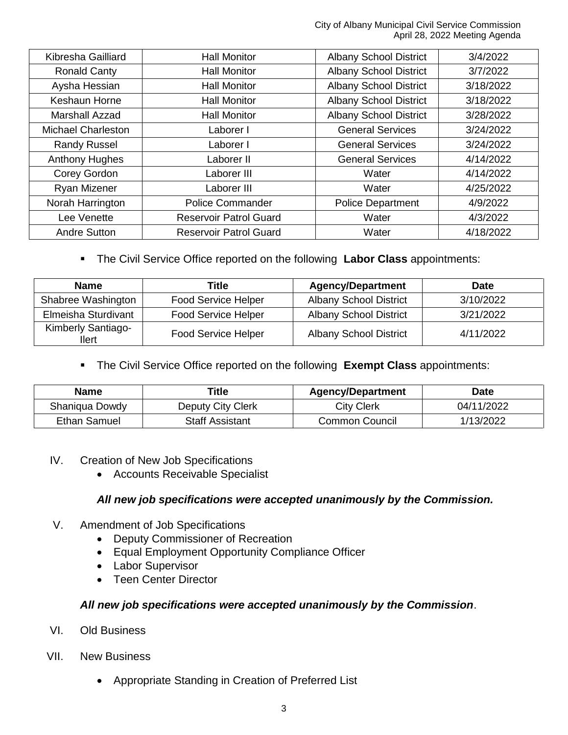| Kibresha Gailliard        | <b>Hall Monitor</b>           | <b>Albany School District</b> | 3/4/2022  |
|---------------------------|-------------------------------|-------------------------------|-----------|
| <b>Ronald Canty</b>       | <b>Hall Monitor</b>           | <b>Albany School District</b> | 3/7/2022  |
| Aysha Hessian             | <b>Hall Monitor</b>           | <b>Albany School District</b> | 3/18/2022 |
| <b>Keshaun Horne</b>      | <b>Hall Monitor</b>           | <b>Albany School District</b> | 3/18/2022 |
| <b>Marshall Azzad</b>     | <b>Hall Monitor</b>           | <b>Albany School District</b> | 3/28/2022 |
| <b>Michael Charleston</b> | Laborer I                     | <b>General Services</b>       | 3/24/2022 |
| <b>Randy Russel</b>       | Laborer I                     | <b>General Services</b>       | 3/24/2022 |
| <b>Anthony Hughes</b>     | Laborer II                    | <b>General Services</b>       | 4/14/2022 |
| Corey Gordon              | Laborer III                   | Water                         | 4/14/2022 |
| Ryan Mizener              | Laborer III                   | Water                         | 4/25/2022 |
| Norah Harrington          | <b>Police Commander</b>       | <b>Police Department</b>      | 4/9/2022  |
| Lee Venette               | <b>Reservoir Patrol Guard</b> | Water                         | 4/3/2022  |
| <b>Andre Sutton</b>       | <b>Reservoir Patrol Guard</b> | Water                         | 4/18/2022 |

# The Civil Service Office reported on the following **Labor Class** appointments:

| <b>Name</b>                               | <b>Title</b>               | <b>Agency/Department</b>      | <b>Date</b> |
|-------------------------------------------|----------------------------|-------------------------------|-------------|
| Shabree Washington                        | Food Service Helper        | <b>Albany School District</b> | 3/10/2022   |
| Elmeisha Sturdivant                       | <b>Food Service Helper</b> | <b>Albany School District</b> | 3/21/2022   |
| <b>Kimberly Santiago-</b><br><b>Ilert</b> | <b>Food Service Helper</b> | <b>Albany School District</b> | 4/11/2022   |

## The Civil Service Office reported on the following **Exempt Class** appointments:

| <b>Name</b>    | Title                  | <b>Agency/Department</b> | Date       |
|----------------|------------------------|--------------------------|------------|
| Shaniqua Dowdy | Deputy City Clerk      | City Clerk               | 04/11/2022 |
| Ethan Samuel   | <b>Staff Assistant</b> | Common Council           | 1/13/2022  |

#### IV. Creation of New Job Specifications

Accounts Receivable Specialist

## *All new job specifications were accepted unanimously by the Commission.*

- V. Amendment of Job Specifications
	- Deputy Commissioner of Recreation
	- Equal Employment Opportunity Compliance Officer
	- Labor Supervisor
	- Teen Center Director

# *All new job specifications were accepted unanimously by the Commission*.

- VI. Old Business
- VII. New Business
	- Appropriate Standing in Creation of Preferred List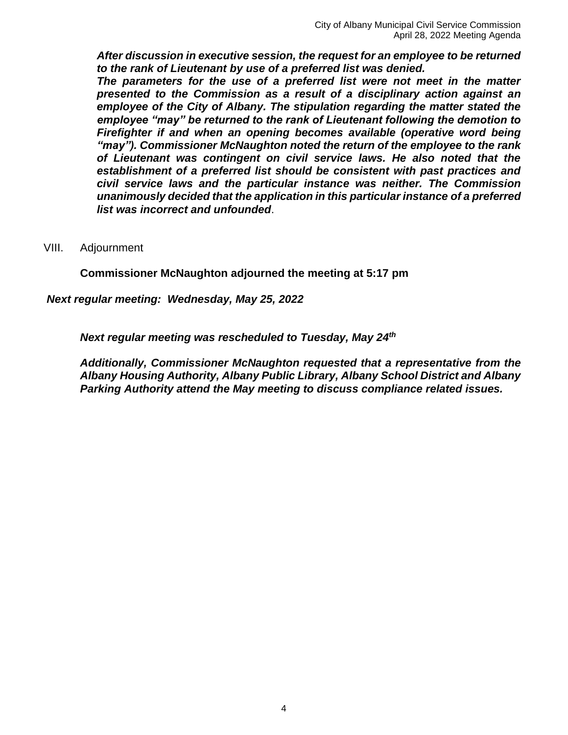*After discussion in executive session, the request for an employee to be returned to the rank of Lieutenant by use of a preferred list was denied.*

*The parameters for the use of a preferred list were not meet in the matter presented to the Commission as a result of a disciplinary action against an employee of the City of Albany. The stipulation regarding the matter stated the employee "may" be returned to the rank of Lieutenant following the demotion to Firefighter if and when an opening becomes available (operative word being "may"). Commissioner McNaughton noted the return of the employee to the rank of Lieutenant was contingent on civil service laws. He also noted that the establishment of a preferred list should be consistent with past practices and civil service laws and the particular instance was neither. The Commission unanimously decided that the application in this particular instance of a preferred list was incorrect and unfounded*.

#### VIII. Adjournment

**Commissioner McNaughton adjourned the meeting at 5:17 pm**

*Next regular meeting: Wednesday, May 25, 2022* 

*Next regular meeting was rescheduled to Tuesday, May 24th*

*Additionally, Commissioner McNaughton requested that a representative from the Albany Housing Authority, Albany Public Library, Albany School District and Albany Parking Authority attend the May meeting to discuss compliance related issues.*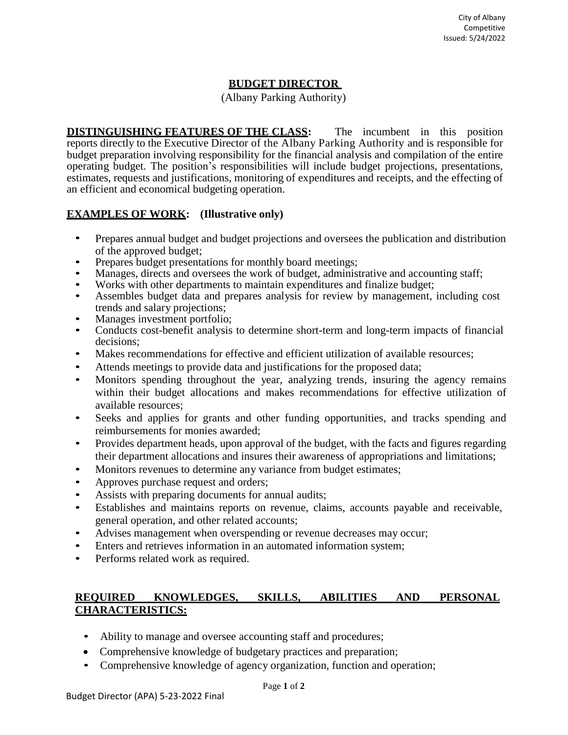## **BUDGET DIRECTOR**

(Albany Parking Authority)

**DISTINGUISHING FEATURES OF THE CLASS:** The incumbent in this position reports directly to the Executive Director of the Albany Parking Authority and is responsible for budget preparation involving responsibility for the financial analysis and compilation of the entire operating budget. The position's responsibilities will include budget projections, presentations, estimates, requests and justifications, monitoring of expenditures and receipts, and the effecting of an efficient and economical budgeting operation.

#### **EXAMPLES OF WORK: (Illustrative only)**

- Prepares annual budget and budget projections and oversees the publication and distribution of the approved budget;
- Prepares budget presentations for monthly board meetings;
- Manages, directs and oversees the work of budget, administrative and accounting staff;
- Works with other departments to maintain expenditures and finalize budget;
- Assembles budget data and prepares analysis for review by management, including cost trends and salary projections;
- Manages investment portfolio;
- Conducts cost-benefit analysis to determine short-term and long-term impacts of financial decisions;
- Makes recommendations for effective and efficient utilization of available resources;
- Attends meetings to provide data and justifications for the proposed data;
- Monitors spending throughout the year, analyzing trends, insuring the agency remains within their budget allocations and makes recommendations for effective utilization of available resources;
- Seeks and applies for grants and other funding opportunities, and tracks spending and reimbursements for monies awarded;
- Provides department heads, upon approval of the budget, with the facts and figures regarding their department allocations and insures their awareness of appropriations and limitations;
- Monitors revenues to determine any variance from budget estimates;
- Approves purchase request and orders;
- Assists with preparing documents for annual audits;
- Establishes and maintains reports on revenue, claims, accounts payable and receivable, general operation, and other related accounts;
- Advises management when overspending or revenue decreases may occur;
- Enters and retrieves information in an automated information system;
- Performs related work as required.

## **REQUIRED KNOWLEDGES, SKILLS, ABILITIES AND PERSONAL CHARACTERISTICS:**

- Ability to manage and oversee accounting staff and procedures;
- Comprehensive knowledge of budgetary practices and preparation;
- Comprehensive knowledge of agency organization, function and operation;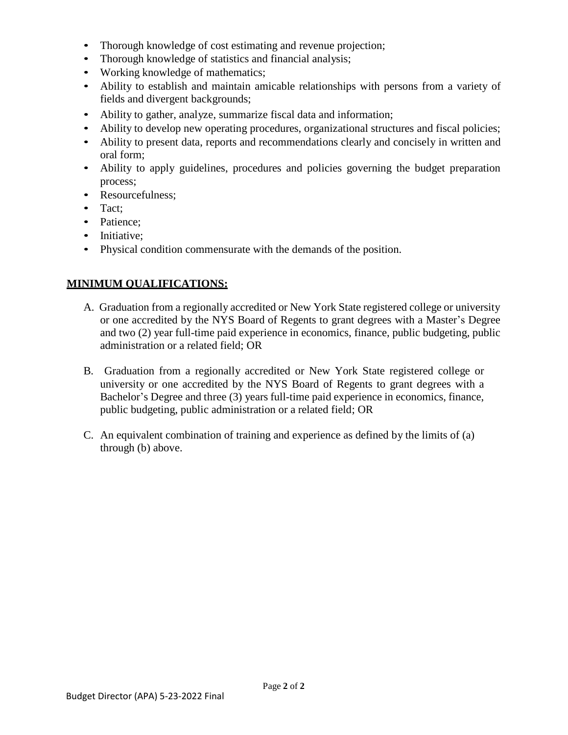- Thorough knowledge of cost estimating and revenue projection;
- Thorough knowledge of statistics and financial analysis;
- Working knowledge of mathematics:
- Ability to establish and maintain amicable relationships with persons from a variety of fields and divergent backgrounds;
- Ability to gather, analyze, summarize fiscal data and information;
- Ability to develop new operating procedures, organizational structures and fiscal policies;
- Ability to present data, reports and recommendations clearly and concisely in written and oral form;
- Ability to apply guidelines, procedures and policies governing the budget preparation process;
- Resourcefulness;
- Tact;
- Patience:
- Initiative:
- Physical condition commensurate with the demands of the position.

# **MINIMUM QUALIFICATIONS:**

- A. Graduation from a regionally accredited or New York State registered college or university or one accredited by the NYS Board of Regents to grant degrees with a Master's Degree and two (2) year full-time paid experience in economics, finance, public budgeting, public administration or a related field; OR
- B. Graduation from a regionally accredited or New York State registered college or university or one accredited by the NYS Board of Regents to grant degrees with a Bachelor's Degree and three (3) years full-time paid experience in economics, finance, public budgeting, public administration or a related field; OR
- C. An equivalent combination of training and experience as defined by the limits of (a) through (b) above.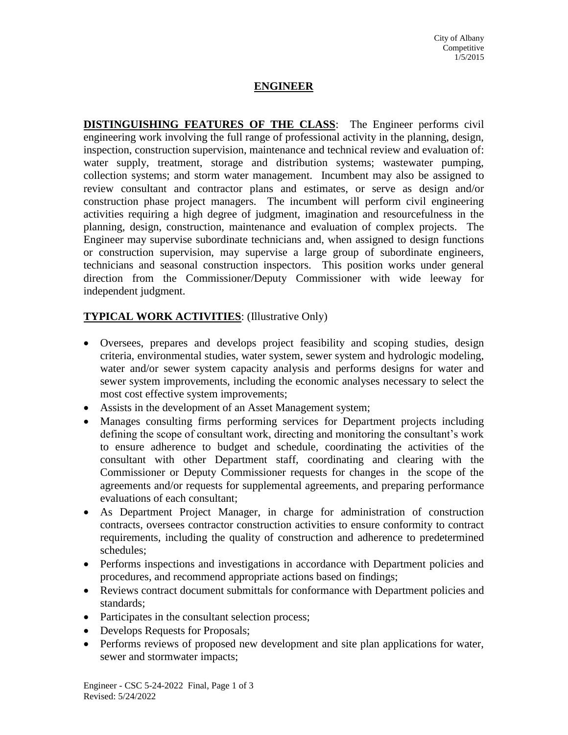# **ENGINEER**

**DISTINGUISHING FEATURES OF THE CLASS**: The Engineer performs civil engineering work involving the full range of professional activity in the planning, design, inspection, construction supervision, maintenance and technical review and evaluation of: water supply, treatment, storage and distribution systems; wastewater pumping, collection systems; and storm water management. Incumbent may also be assigned to review consultant and contractor plans and estimates, or serve as design and/or construction phase project managers. The incumbent will perform civil engineering activities requiring a high degree of judgment, imagination and resourcefulness in the planning, design, construction, maintenance and evaluation of complex projects. The Engineer may supervise subordinate technicians and, when assigned to design functions or construction supervision, may supervise a large group of subordinate engineers, technicians and seasonal construction inspectors. This position works under general direction from the Commissioner/Deputy Commissioner with wide leeway for independent judgment.

# **TYPICAL WORK ACTIVITIES**: (Illustrative Only)

- Oversees, prepares and develops project feasibility and scoping studies, design criteria, environmental studies, water system, sewer system and hydrologic modeling, water and/or sewer system capacity analysis and performs designs for water and sewer system improvements, including the economic analyses necessary to select the most cost effective system improvements;
- Assists in the development of an Asset Management system;
- Manages consulting firms performing services for Department projects including defining the scope of consultant work, directing and monitoring the consultant's work to ensure adherence to budget and schedule, coordinating the activities of the consultant with other Department staff, coordinating and clearing with the Commissioner or Deputy Commissioner requests for changes in the scope of the agreements and/or requests for supplemental agreements, and preparing performance evaluations of each consultant;
- As Department Project Manager, in charge for administration of construction contracts, oversees contractor construction activities to ensure conformity to contract requirements, including the quality of construction and adherence to predetermined schedules;
- Performs inspections and investigations in accordance with Department policies and procedures, and recommend appropriate actions based on findings;
- Reviews contract document submittals for conformance with Department policies and standards;
- Participates in the consultant selection process;
- Develops Requests for Proposals;
- Performs reviews of proposed new development and site plan applications for water, sewer and stormwater impacts;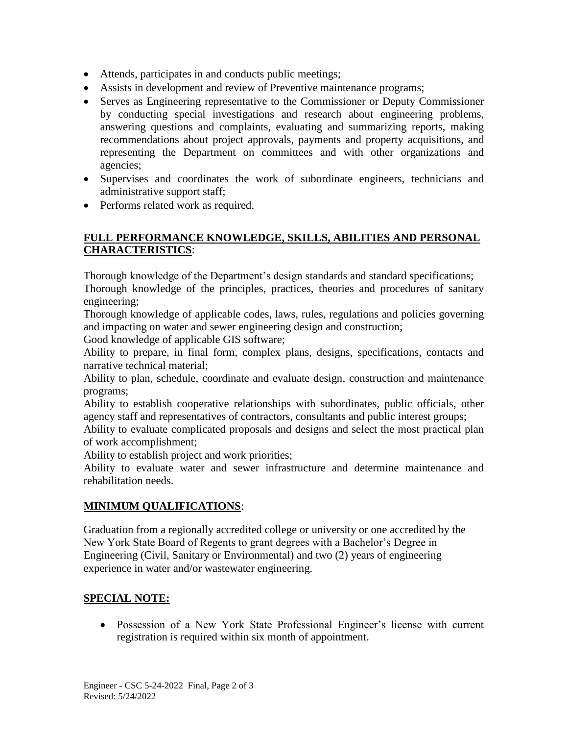- Attends, participates in and conducts public meetings;
- Assists in development and review of Preventive maintenance programs;
- Serves as Engineering representative to the Commissioner or Deputy Commissioner by conducting special investigations and research about engineering problems, answering questions and complaints, evaluating and summarizing reports, making recommendations about project approvals, payments and property acquisitions, and representing the Department on committees and with other organizations and agencies;
- Supervises and coordinates the work of subordinate engineers, technicians and administrative support staff;
- Performs related work as required.

## **FULL PERFORMANCE KNOWLEDGE, SKILLS, ABILITIES AND PERSONAL CHARACTERISTICS**:

Thorough knowledge of the Department's design standards and standard specifications;

Thorough knowledge of the principles, practices, theories and procedures of sanitary engineering;

Thorough knowledge of applicable codes, laws, rules, regulations and policies governing and impacting on water and sewer engineering design and construction;

Good knowledge of applicable GIS software;

Ability to prepare, in final form, complex plans, designs, specifications, contacts and narrative technical material;

Ability to plan, schedule, coordinate and evaluate design, construction and maintenance programs;

Ability to establish cooperative relationships with subordinates, public officials, other agency staff and representatives of contractors, consultants and public interest groups;

Ability to evaluate complicated proposals and designs and select the most practical plan of work accomplishment;

Ability to establish project and work priorities;

Ability to evaluate water and sewer infrastructure and determine maintenance and rehabilitation needs.

#### **MINIMUM QUALIFICATIONS**:

Graduation from a regionally accredited college or university or one accredited by the New York State Board of Regents to grant degrees with a Bachelor's Degree in Engineering (Civil, Sanitary or Environmental) and two (2) years of engineering experience in water and/or wastewater engineering.

# **SPECIAL NOTE:**

 Possession of a New York State Professional Engineer's license with current registration is required within six month of appointment.